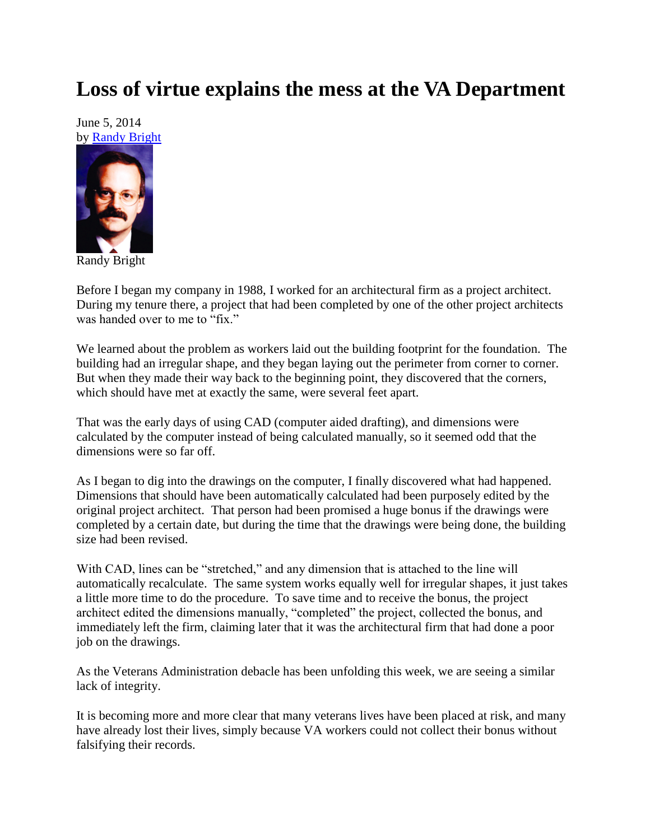## **Loss of virtue explains the mess at the VA Department**

June 5, 2014 by [Randy Bright](http://tulsabeacon.com/writers/randy-bright/)



Before I began my company in 1988, I worked for an architectural firm as a project architect. During my tenure there, a project that had been completed by one of the other project architects was handed over to me to "fix."

We learned about the problem as workers laid out the building footprint for the foundation. The building had an irregular shape, and they began laying out the perimeter from corner to corner. But when they made their way back to the beginning point, they discovered that the corners, which should have met at exactly the same, were several feet apart.

That was the early days of using CAD (computer aided drafting), and dimensions were calculated by the computer instead of being calculated manually, so it seemed odd that the dimensions were so far off.

As I began to dig into the drawings on the computer, I finally discovered what had happened. Dimensions that should have been automatically calculated had been purposely edited by the original project architect. That person had been promised a huge bonus if the drawings were completed by a certain date, but during the time that the drawings were being done, the building size had been revised.

With CAD, lines can be "stretched," and any dimension that is attached to the line will automatically recalculate. The same system works equally well for irregular shapes, it just takes a little more time to do the procedure. To save time and to receive the bonus, the project architect edited the dimensions manually, "completed" the project, collected the bonus, and immediately left the firm, claiming later that it was the architectural firm that had done a poor job on the drawings.

As the Veterans Administration debacle has been unfolding this week, we are seeing a similar lack of integrity.

It is becoming more and more clear that many veterans lives have been placed at risk, and many have already lost their lives, simply because VA workers could not collect their bonus without falsifying their records.